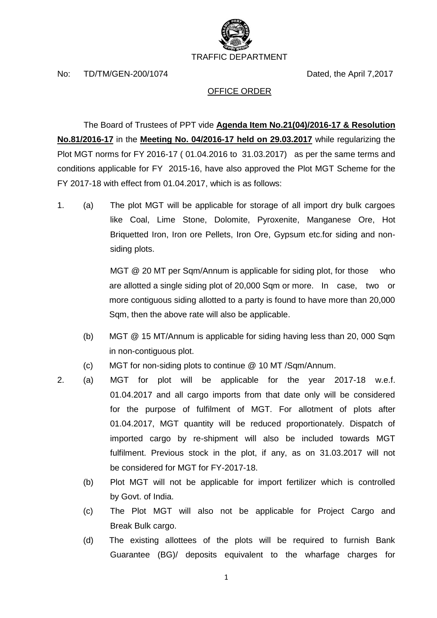

No: TD/TM/GEN-200/1074 Dated, the April 7,2017

## OFFICE ORDER

The Board of Trustees of PPT vide **Agenda Item No.21(04)/2016-17 & Resolution No.81/2016-17** in the **Meeting No. 04/2016-17 held on 29.03.2017** while regularizing the Plot MGT norms for FY 2016-17 ( 01.04.2016 to 31.03.2017) as per the same terms and conditions applicable for FY 2015-16, have also approved the Plot MGT Scheme for the FY 2017-18 with effect from 01.04.2017, which is as follows:

1. (a) The plot MGT will be applicable for storage of all import dry bulk cargoes like Coal, Lime Stone, Dolomite, Pyroxenite, Manganese Ore, Hot Briquetted Iron, Iron ore Pellets, Iron Ore, Gypsum etc.for siding and nonsiding plots.

> MGT @ 20 MT per Sqm/Annum is applicable for siding plot, for those who are allotted a single siding plot of 20,000 Sqm or more. In case, two or more contiguous siding allotted to a party is found to have more than 20,000 Sqm, then the above rate will also be applicable.

- (b) MGT @ 15 MT/Annum is applicable for siding having less than 20, 000 Sqm in non-contiguous plot.
- (c) MGT for non-siding plots to continue @ 10 MT /Sqm/Annum.
- 2. (a) MGT for plot will be applicable for the year 2017-18 w.e.f. 01.04.2017 and all cargo imports from that date only will be considered for the purpose of fulfilment of MGT. For allotment of plots after 01.04.2017, MGT quantity will be reduced proportionately. Dispatch of imported cargo by re-shipment will also be included towards MGT fulfilment. Previous stock in the plot, if any, as on 31.03.2017 will not be considered for MGT for FY-2017-18.
	- (b) Plot MGT will not be applicable for import fertilizer which is controlled by Govt. of India.
	- (c) The Plot MGT will also not be applicable for Project Cargo and Break Bulk cargo.
	- (d) The existing allottees of the plots will be required to furnish Bank Guarantee (BG)/ deposits equivalent to the wharfage charges for